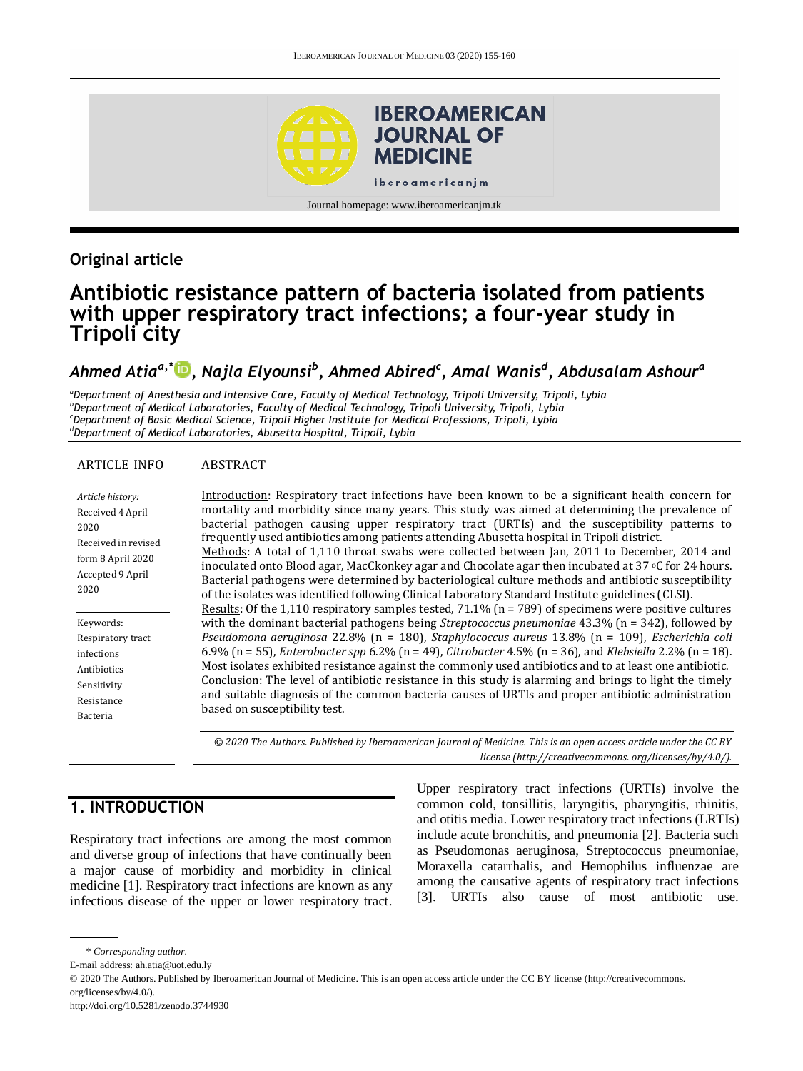

# **Original article**

# **Antibiotic resistance pattern of bacteria isolated from patients with upper respiratory tract infections; a four-year study in Tripoli city**

# *Ahmed Atiaa,\* [,](http://orcid.org/0000-0002-9951-1921) Najla Elyounsi<sup>b</sup> , Ahmed Abired<sup>c</sup> , Amal Wanis<sup>d</sup> , Abdusalam Ashour<sup>a</sup>*

*<sup>a</sup>Department of Anesthesia and Intensive Care, Faculty of Medical Technology, Tripoli University, Tripoli, Lybia <sup>b</sup>Department of Medical Laboratories, Faculty of Medical Technology, Tripoli University, Tripoli, Lybia <sup>c</sup>Department of Basic Medical Science, Tripoli Higher Institute for Medical Professions, Tripoli, Lybia <sup>d</sup>Department of Medical Laboratories, Abusetta Hospital, Tripoli, Lybia*

#### ARTICLE INFO ABSTRACT

| Article history:<br>Received 4 April<br>2020<br>Received in revised<br>form 8 April 2020<br>Accepted 9 April<br>2020 | Introduction: Respiratory tract infections have been known to be a significant health concern for<br>mortality and morbidity since many years. This study was aimed at determining the prevalence of<br>bacterial pathogen causing upper respiratory tract (URTIs) and the susceptibility patterns to<br>frequently used antibiotics among patients attending Abusetta hospital in Tripoli district.<br>Methods: A total of 1,110 throat swabs were collected between Jan, 2011 to December, 2014 and<br>inoculated onto Blood agar, MacCkonkey agar and Chocolate agar then incubated at 37 °C for 24 hours.<br>Bacterial pathogens were determined by bacteriological culture methods and antibiotic susceptibility<br>of the isolates was identified following Clinical Laboratory Standard Institute guidelines (CLSI). |
|----------------------------------------------------------------------------------------------------------------------|-----------------------------------------------------------------------------------------------------------------------------------------------------------------------------------------------------------------------------------------------------------------------------------------------------------------------------------------------------------------------------------------------------------------------------------------------------------------------------------------------------------------------------------------------------------------------------------------------------------------------------------------------------------------------------------------------------------------------------------------------------------------------------------------------------------------------------|
|                                                                                                                      | <u>Results</u> : Of the 1,110 respiratory samples tested, $71.1\%$ ( $n = 789$ ) of specimens were positive cultures                                                                                                                                                                                                                                                                                                                                                                                                                                                                                                                                                                                                                                                                                                        |
| Keywords:                                                                                                            | with the dominant bacterial pathogens being <i>Streptococcus pneumoniae</i> $43.3\%$ ( $n = 342$ ), followed by                                                                                                                                                                                                                                                                                                                                                                                                                                                                                                                                                                                                                                                                                                             |
| Respiratory tract                                                                                                    | Pseudomona aeruginosa 22.8% (n = 180), Staphylococcus aureus 13.8% (n = 109), Escherichia coli                                                                                                                                                                                                                                                                                                                                                                                                                                                                                                                                                                                                                                                                                                                              |
| infections                                                                                                           | 6.9% (n = 55), <i>Enterobacter spp</i> 6.2% (n = 49), <i>Citrobacter</i> 4.5% (n = 36), and <i>Klebsiella</i> 2.2% (n = 18).                                                                                                                                                                                                                                                                                                                                                                                                                                                                                                                                                                                                                                                                                                |
| Antibiotics                                                                                                          | Most isolates exhibited resistance against the commonly used antibiotics and to at least one antibiotic.                                                                                                                                                                                                                                                                                                                                                                                                                                                                                                                                                                                                                                                                                                                    |
| Sensitivity                                                                                                          | Conclusion: The level of antibiotic resistance in this study is alarming and brings to light the timely                                                                                                                                                                                                                                                                                                                                                                                                                                                                                                                                                                                                                                                                                                                     |
| Resistance                                                                                                           | and suitable diagnosis of the common bacteria causes of URTIs and proper antibiotic administration                                                                                                                                                                                                                                                                                                                                                                                                                                                                                                                                                                                                                                                                                                                          |
| Bacteria                                                                                                             | based on susceptibility test.                                                                                                                                                                                                                                                                                                                                                                                                                                                                                                                                                                                                                                                                                                                                                                                               |
|                                                                                                                      | © 2020 The Authors. Published by Iberoamerican Journal of Medicine. This is an open access article under the CC BY                                                                                                                                                                                                                                                                                                                                                                                                                                                                                                                                                                                                                                                                                                          |

# **1. INTRODUCTION**

Respiratory tract infections are among the most common and diverse group of infections that have continually been a major cause of morbidity and morbidity in clinical medicine [1]. Respiratory tract infections are known as any infectious disease of the upper or lower respiratory tract.

Upper respiratory tract infections (URTIs) involve the common cold, tonsillitis, laryngitis, pharyngitis, rhinitis, and otitis media. Lower respiratory tract infections (LRTIs) include acute bronchitis, and pneumonia [2]. Bacteria such as Pseudomonas aeruginosa, Streptococcus pneumoniae, Moraxella catarrhalis, and Hemophilus influenzae are among the causative agents of respiratory tract infections [3]. URTIs also cause of most antibiotic use.

*license (http:/[/creativecommons. org/licenses/by/4.0/\)](https://creativecommons.org/licenses/by/4.0/).*

<sup>\*</sup> *Corresponding author.*

E-mail address: ah.atia@uot.edu.ly

<sup>© 2020</sup> The Authors. Published by Iberoamerican Journal of Medicine. This is an open access article under the CC BY license (http://creativecommons. org/licenses/by/4.0/).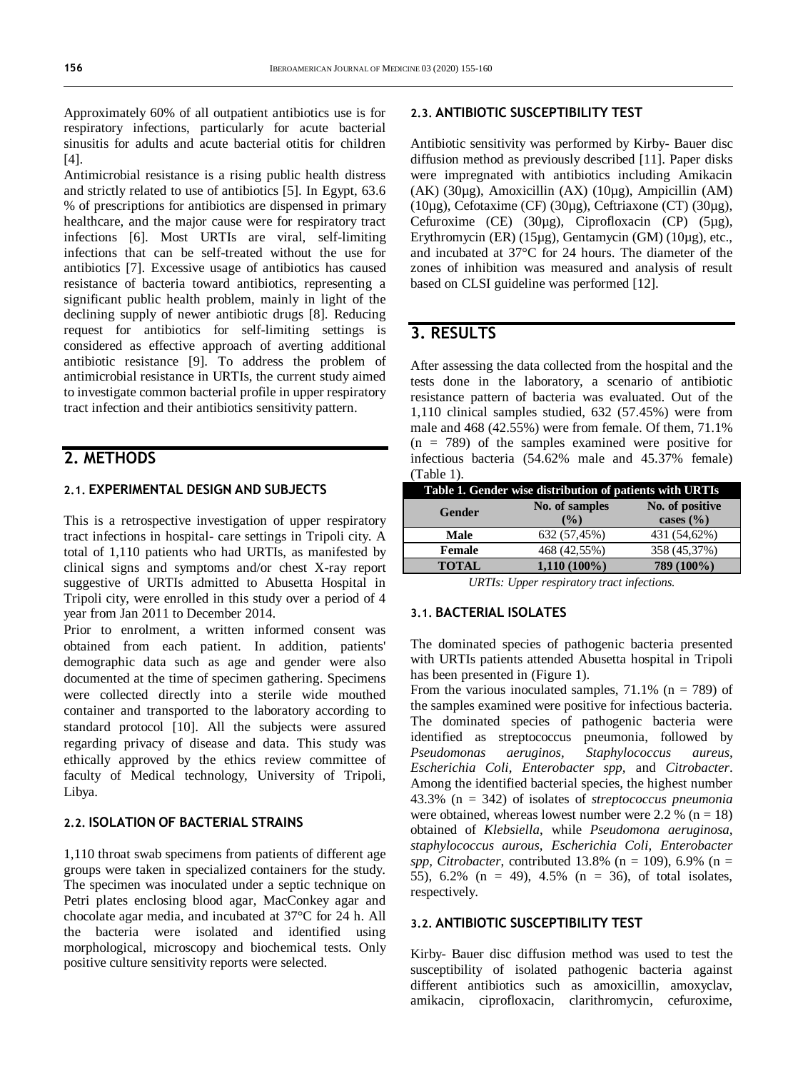Approximately 60% of all outpatient antibiotics use is for respiratory infections, particularly for acute bacterial sinusitis for adults and acute bacterial otitis for children [4].

Antimicrobial resistance is a rising public health distress and strictly related to use of antibiotics [5]. In Egypt, 63.6 % of prescriptions for antibiotics are dispensed in primary healthcare, and the major cause were for respiratory tract infections [6]. Most URTIs are viral, self-limiting infections that can be self-treated without the use for antibiotics [7]. Excessive usage of antibiotics has caused resistance of bacteria toward antibiotics, representing a significant public health problem, mainly in light of the declining supply of newer antibiotic drugs [8]. Reducing request for antibiotics for self-limiting settings is considered as effective approach of averting additional antibiotic resistance [9]. To address the problem of antimicrobial resistance in URTIs, the current study aimed to investigate common bacterial profile in upper respiratory tract infection and their antibiotics sensitivity pattern.

# **2. METHODS**

### **2.1. EXPERIMENTAL DESIGN AND SUBJECTS**

This is a retrospective investigation of upper respiratory tract infections in hospital- care settings in Tripoli city. A total of 1,110 patients who had URTIs, as manifested by clinical signs and symptoms and/or chest X-ray report suggestive of URTIs admitted to Abusetta Hospital in Tripoli city, were enrolled in this study over a period of 4 year from Jan 2011 to December 2014.

Prior to enrolment, a written informed consent was obtained from each patient. In addition, patients' demographic data such as age and gender were also documented at the time of specimen gathering. Specimens were collected directly into a sterile wide mouthed container and transported to the laboratory according to standard protocol [10]. All the subjects were assured regarding privacy of disease and data. This study was ethically approved by the ethics review committee of faculty of Medical technology, University of Tripoli, Libya.

#### **2.2. ISOLATION OF BACTERIAL STRAINS**

1,110 throat swab specimens from patients of different age groups were taken in specialized containers for the study. The specimen was inoculated under a septic technique on Petri plates enclosing blood agar, MacConkey agar and chocolate agar media, and incubated at 37°C for 24 h. All the bacteria were isolated and identified using morphological, microscopy and biochemical tests. Only positive culture sensitivity reports were selected.

#### **2.3. ANTIBIOTIC SUSCEPTIBILITY TEST**

Antibiotic sensitivity was performed by Kirby- Bauer disc diffusion method as previously described [11]. Paper disks were impregnated with antibiotics including Amikacin (AK) (30µg), Amoxicillin (AX) (10µg), Ampicillin (AM) (10 $\mu$ g), Cefotaxime (CF) (30 $\mu$ g), Ceftriaxone (CT) (30 $\mu$ g), Cefuroxime (CE) (30µg), Ciprofloxacin (CP) (5µg), Erythromycin (ER) (15µg), Gentamycin (GM) (10µg), etc., and incubated at 37°C for 24 hours. The diameter of the zones of inhibition was measured and analysis of result based on CLSI guideline was performed [12].

## **3. RESULTS**

After assessing the data collected from the hospital and the tests done in the laboratory, a scenario of antibiotic resistance pattern of bacteria was evaluated. Out of the 1,110 clinical samples studied, 632 (57.45%) were from male and 468 (42.55%) were from female. Of them, 71.1%  $(n = 789)$  of the samples examined were positive for infectious bacteria (54.62% male and 45.37% female) (Table 1).

| No. of positive<br>No. of samples<br>Gender<br>cases $(\frac{6}{6})$<br>$($ %) |  |
|--------------------------------------------------------------------------------|--|
| 431 (54,62%)<br>632 (57,45%)<br>Male                                           |  |
| 468 (42,55%)<br>358 (45,37%)<br><b>Female</b>                                  |  |
| 789 (100%)<br><b>TOTAL</b><br>$1,110(100\%)$                                   |  |

*URTIs: Upper respiratory tract infections.*

#### **3.1. BACTERIAL ISOLATES**

The dominated species of pathogenic bacteria presented with URTIs patients attended Abusetta hospital in Tripoli has been presented in (Figure 1).

From the various inoculated samples,  $71.1\%$  (n = 789) of the samples examined were positive for infectious bacteria. The dominated species of pathogenic bacteria were identified as streptococcus pneumonia, followed by *Pseudomonas aeruginos, Staphylococcus aureus, Escherichia Coli, Enterobacter spp,* and *Citrobacter*. Among the identified bacterial species, the highest number 43.3% (n = 342) of isolates of *streptococcus pneumonia* were obtained, whereas lowest number were 2.2 % ( $n = 18$ ) obtained of *Klebsiella*, while *Pseudomona aeruginosa, staphylococcus aurous, Escherichia Coli, Enterobacter spp, Citrobacter*, contributed 13.8% (n = 109), 6.9% (n = 55), 6.2% (n = 49), 4.5% (n = 36), of total isolates, respectively.

#### **3.2. ANTIBIOTIC SUSCEPTIBILITY TEST**

Kirby- Bauer disc diffusion method was used to test the susceptibility of isolated pathogenic bacteria against different antibiotics such as amoxicillin, amoxyclav, amikacin, ciprofloxacin, clarithromycin, cefuroxime,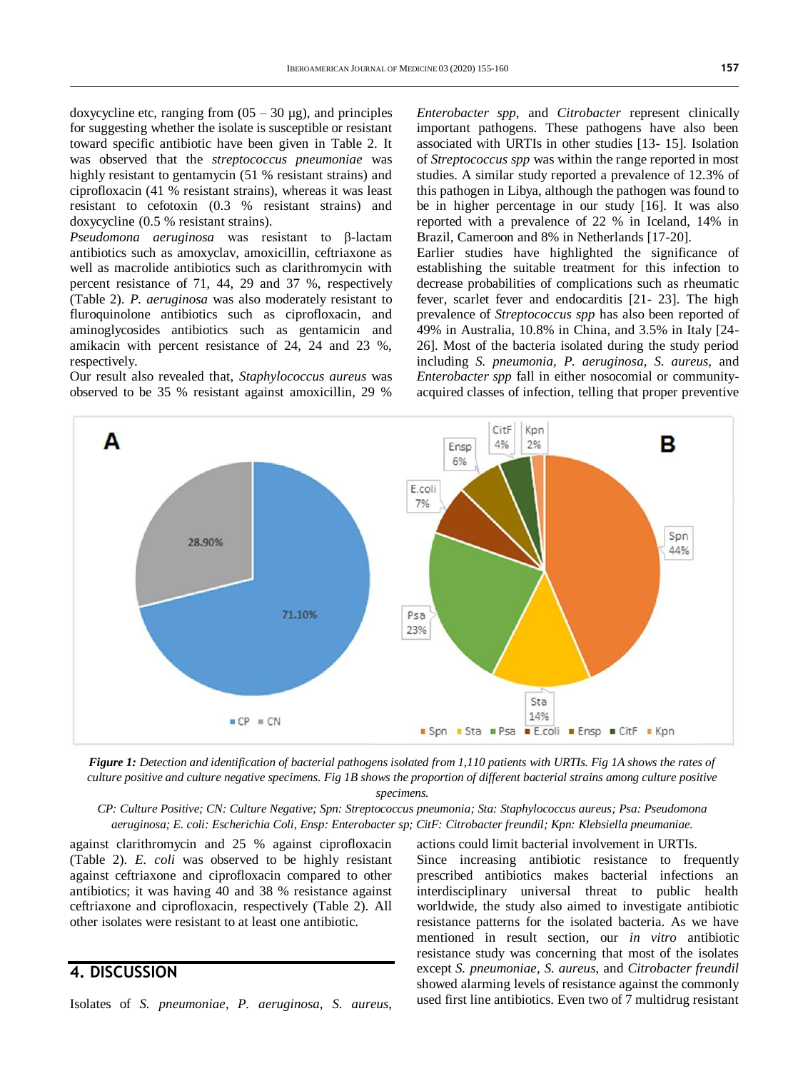doxycycline etc, ranging from  $(05 - 30 \mu g)$ , and principles for suggesting whether the isolate is susceptible or resistant toward specific antibiotic have been given in Table 2. It was observed that the *streptococcus pneumoniae* was highly resistant to gentamycin (51 % resistant strains) and ciprofloxacin (41 % resistant strains), whereas it was least resistant to cefotoxin (0.3 % resistant strains) and doxycycline (0.5 % resistant strains).

*Pseudomona aeruginosa* was resistant to β-lactam antibiotics such as amoxyclav, amoxicillin, ceftriaxone as well as macrolide antibiotics such as clarithromycin with percent resistance of 71, 44, 29 and 37 %, respectively (Table 2). *P. aeruginosa* was also moderately resistant to fluroquinolone antibiotics such as ciprofloxacin, and aminoglycosides antibiotics such as gentamicin and amikacin with percent resistance of 24, 24 and 23 %, respectively.

Our result also revealed that, *Staphylococcus aureus* was observed to be 35 % resistant against amoxicillin, 29 %

*Enterobacter spp,* and *Citrobacter* represent clinically important pathogens. These pathogens have also been associated with URTIs in other studies [13- 15]. Isolation of *Streptococcus spp* was within the range reported in most studies. A similar study reported a prevalence of 12.3% of this pathogen in Libya, although the pathogen was found to be in higher percentage in our study [16]. It was also reported with a prevalence of 22 % in Iceland, 14% in Brazil, Cameroon and 8% in Netherlands [17-20].

Earlier studies have highlighted the significance of establishing the suitable treatment for this infection to decrease probabilities of complications such as rheumatic fever, scarlet fever and endocarditis [21- 23]. The high prevalence of *Streptococcus spp* has also been reported of 49% in Australia, 10.8% in China, and 3.5% in Italy [24- 26]. Most of the bacteria isolated during the study period including *S. pneumonia, P. aeruginosa, S. aureus,* and *Enterobacter spp* fall in either nosocomial or communityacquired classes of infection, telling that proper preventive



*Figure 1: Detection and identification of bacterial pathogens isolated from 1,110 patients with URTIs. Fig 1A shows the rates of culture positive and culture negative specimens. Fig 1B shows the proportion of different bacterial strains among culture positive specimens.*

*CP: Culture Positive; CN: Culture Negative; Spn: Streptococcus pneumonia; Sta: Staphylococcus aureus; Psa: Pseudomona aeruginosa; E. coli: Escherichia Coli, Ensp: Enterobacter sp; CitF: Citrobacter freundil; Kpn: Klebsiella pneumaniae.*

against clarithromycin and 25 % against ciprofloxacin (Table 2). *E. coli* was observed to be highly resistant against ceftriaxone and ciprofloxacin compared to other antibiotics; it was having 40 and 38 % resistance against ceftriaxone and ciprofloxacin, respectively (Table 2). All other isolates were resistant to at least one antibiotic.

## **4. DISCUSSION**

Isolates of *S. pneumoniae, P. aeruginosa, S. aureus,* 

actions could limit bacterial involvement in URTIs. Since increasing antibiotic resistance to frequently prescribed antibiotics makes bacterial infections an interdisciplinary universal threat to public health worldwide, the study also aimed to investigate antibiotic resistance patterns for the isolated bacteria. As we have mentioned in result section, our *in vitro* antibiotic resistance study was concerning that most of the isolates except *S. pneumoniae, S. aureus*, and *Citrobacter freundil* showed alarming levels of resistance against the commonly used first line antibiotics. Even two of 7 multidrug resistant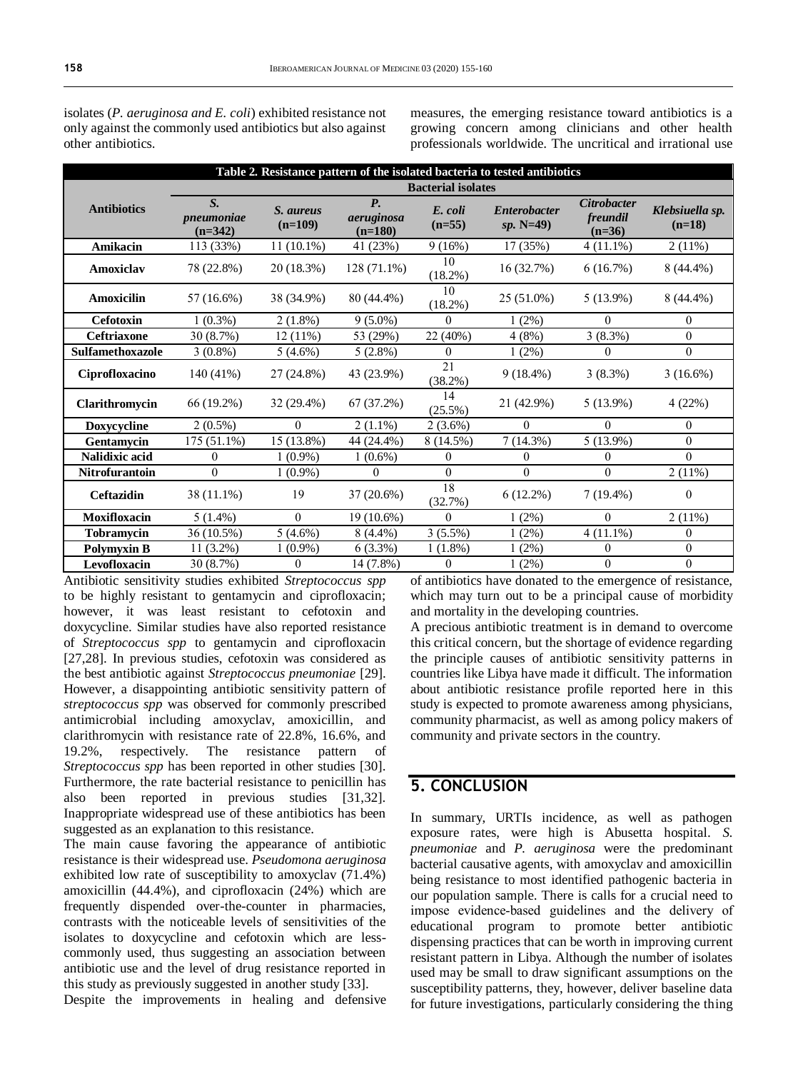isolates (*P. aeruginosa and E. coli*) exhibited resistance not only against the commonly used antibiotics but also against other antibiotics.

measures, the emerging resistance toward antibiotics is a growing concern among clinicians and other health professionals worldwide. The uncritical and irrational use

| Table 2. Resistance pattern of the isolated bacteria to tested antibiotics |                                        |                        |                                      |                     |                                   |                                            |                             |  |  |
|----------------------------------------------------------------------------|----------------------------------------|------------------------|--------------------------------------|---------------------|-----------------------------------|--------------------------------------------|-----------------------------|--|--|
|                                                                            | <b>Bacterial isolates</b>              |                        |                                      |                     |                                   |                                            |                             |  |  |
| <b>Antibiotics</b>                                                         | $S_{\cdot}$<br>pneumoniae<br>$(n=342)$ | S. aureus<br>$(n=109)$ | <b>P.</b><br>aeruginosa<br>$(n=180)$ | E. coli<br>$(n=55)$ | <b>Enterobacter</b><br>$sp. N=49$ | <b>Citrobacter</b><br>freundil<br>$(n=36)$ | Klebsiuella sp.<br>$(n=18)$ |  |  |
| Amikacin                                                                   | 113 (33%)                              | $11(10.1\%)$           | 41 (23%)                             | 9(16%)              | 17 (35%)                          | $4(11.1\%)$                                | 2(11%)                      |  |  |
| Amoxiclav                                                                  | 78 (22.8%)                             | 20(18.3%)              | $128(71.1\%)$                        | 10<br>$(18.2\%)$    | 16(32.7%)                         | 6(16.7%)                                   | $8(44.4\%)$                 |  |  |
| <b>Amoxicilin</b>                                                          | 57 (16.6%)                             | 38 (34.9%)             | 80 (44.4%)                           | 10<br>$(18.2\%)$    | 25 (51.0%)                        | $5(13.9\%)$                                | $8(44.4\%)$                 |  |  |
| Cefotoxin                                                                  | $1(0.3\%)$                             | $2(1.8\%)$             | $9(5.0\%)$                           | 0                   | $1(2\%)$                          | $\Omega$                                   | $\mathbf{0}$                |  |  |
| <b>Ceftriaxone</b>                                                         | 30 (8.7%)                              | 12(11%)                | 53 (29%)                             | 22 (40%)            | 4(8%)                             | 3(8.3%)                                    | $\theta$                    |  |  |
| Sulfamethoxazole                                                           | $3(0.8\%)$                             | 5(4.6%)                | 5(2.8%)                              | 0                   | 1(2%)                             | $\theta$                                   | $\theta$                    |  |  |
| Ciprofloxacino                                                             | 140 (41%)                              | 27 (24.8%)             | 43 (23.9%)                           | 21<br>(38.2%)       | $9(18.4\%)$                       | 3(8.3%)                                    | $3(16.6\%)$                 |  |  |
| Clarithromycin                                                             | 66 (19.2%)                             | $32(29.4\%)$           | 67(37.2%)                            | 14<br>$(25.5\%)$    | 21 (42.9%)                        | $5(13.9\%)$                                | 4(22%)                      |  |  |
| Doxycycline                                                                | $2(0.5\%)$                             | $\theta$               | $2(1.1\%)$                           | $2(3.6\%)$          | $\theta$                          | $\Omega$                                   | $\overline{0}$              |  |  |
| Gentamycin                                                                 | 175 (51.1%)                            | 15 (13.8%)             | 44 (24.4%)                           | 8 (14.5%)           | 7(14.3%)                          | 5(13.9%)                                   | $\theta$                    |  |  |
| Nalidixic acid                                                             | $\theta$                               | $1(0.9\%)$             | $1(0.6\%)$                           | 0                   | $\theta$                          | $\theta$                                   | $\Omega$                    |  |  |
| Nitrofurantoin                                                             | $\theta$                               | $1(0.9\%)$             | 0                                    | $\theta$            | $\theta$                          | $\theta$                                   | 2(11%)                      |  |  |
| Ceftazidin                                                                 | 38 (11.1%)                             | 19                     | 37 (20.6%)                           | 18<br>(32.7%)       | $6(12.2\%)$                       | $7(19.4\%)$                                | $\theta$                    |  |  |
| <b>Moxifloxacin</b>                                                        | $5(1.4\%)$                             | $\theta$               | 19 (10.6%)                           | $\theta$            | 1(2%)                             | $\theta$                                   | 2(11%)                      |  |  |
| <b>Tobramycin</b>                                                          | 36 (10.5%)                             | $5(4.6\%)$             | $8(4.4\%)$                           | 3(5.5%)             | 1(2%)                             | $4(11.1\%)$                                | $\mathbf{0}$                |  |  |
| <b>Polymyxin B</b>                                                         | $11(3.2\%)$                            | $1(0.9\%)$             | 6(3.3%)                              | $1(1.8\%)$          | 1(2%)                             | $\theta$                                   | $\mathbf{0}$                |  |  |
| Levofloxacin                                                               | 30 (8.7%)                              | $\mathbf{0}$           | 14 (7.8%)                            | 0                   | $1(2\%)$                          | 0                                          | $\theta$                    |  |  |

Antibiotic sensitivity studies exhibited *Streptococcus spp* to be highly resistant to gentamycin and ciprofloxacin; however, it was least resistant to cefotoxin and doxycycline. Similar studies have also reported resistance of *Streptococcus spp* to gentamycin and ciprofloxacin [27,28]. In previous studies, cefotoxin was considered as the best antibiotic against *Streptococcus pneumoniae* [29]. However, a disappointing antibiotic sensitivity pattern of *streptococcus spp* was observed for commonly prescribed antimicrobial including amoxyclav, amoxicillin, and clarithromycin with resistance rate of 22.8%, 16.6%, and 19.2%, respectively. The resistance pattern of *Streptococcus spp* has been reported in other studies [30]. Furthermore, the rate bacterial resistance to penicillin has also been reported in previous studies [31,32]. Inappropriate widespread use of these antibiotics has been suggested as an explanation to this resistance.

The main cause favoring the appearance of antibiotic resistance is their widespread use. *Pseudomona aeruginosa* exhibited low rate of susceptibility to amoxyclav (71.4%) amoxicillin (44.4%), and ciprofloxacin (24%) which are frequently dispended over-the-counter in pharmacies, contrasts with the noticeable levels of sensitivities of the isolates to doxycycline and cefotoxin which are lesscommonly used, thus suggesting an association between antibiotic use and the level of drug resistance reported in this study as previously suggested in another study [33].

Despite the improvements in healing and defensive

of antibiotics have donated to the emergence of resistance, which may turn out to be a principal cause of morbidity and mortality in the developing countries.

A precious antibiotic treatment is in demand to overcome this critical concern, but the shortage of evidence regarding the principle causes of antibiotic sensitivity patterns in countries like Libya have made it difficult. The information about antibiotic resistance profile reported here in this study is expected to promote awareness among physicians, community pharmacist, as well as among policy makers of community and private sectors in the country.

## **5. CONCLUSION**

In summary, URTIs incidence, as well as pathogen exposure rates, were high is Abusetta hospital. *S. pneumoniae* and *P. aeruginosa* were the predominant bacterial causative agents, with amoxyclav and amoxicillin being resistance to most identified pathogenic bacteria in our population sample. There is calls for a crucial need to impose evidence-based guidelines and the delivery of educational program to promote better antibiotic dispensing practices that can be worth in improving current resistant pattern in Libya. Although the number of isolates used may be small to draw significant assumptions on the susceptibility patterns, they, however, deliver baseline data for future investigations, particularly considering the thing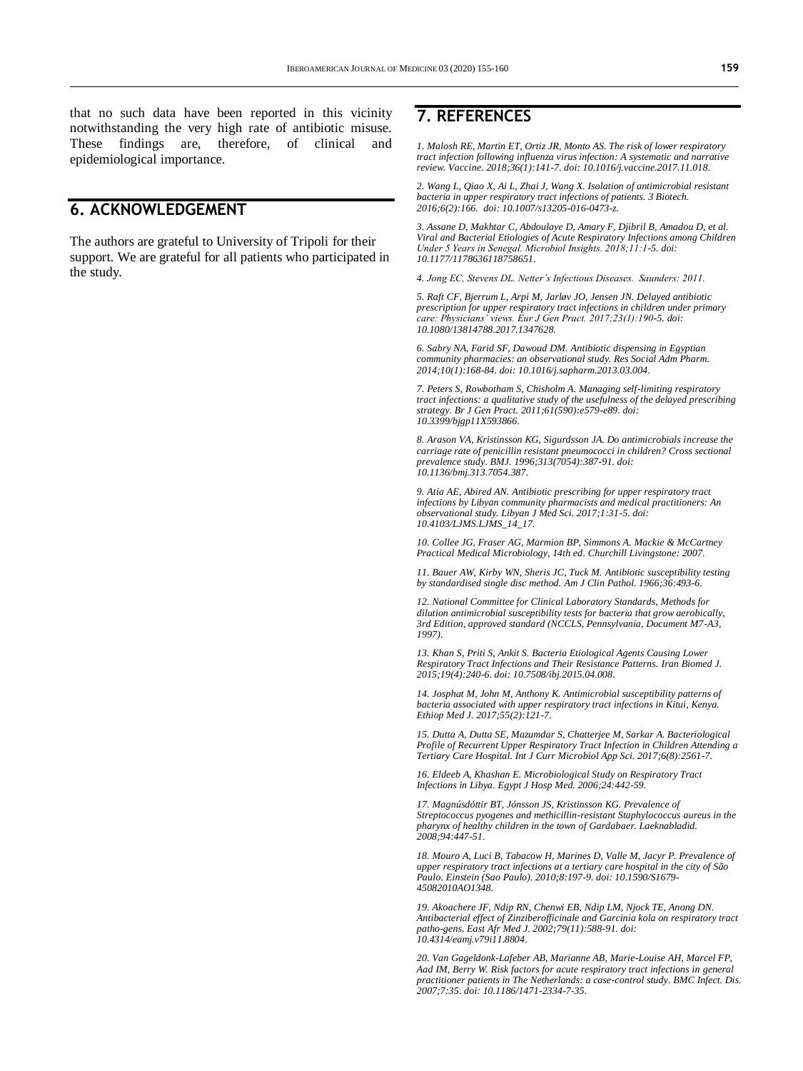that no such data have been reported in this vicinity notwithstanding the very high rate of antibiotic misuse. These findings are, therefore, of clinical and epidemiological importance.

# **6. ACKNOWLEDGEMENT**

The authors are grateful to University of Tripoli for their support. We are grateful for all patients who participated in the study.

### **7. REFERENCES**

*1. Malosh RE, Martin ET, Ortiz JR, Monto AS. The risk of lower respiratory tract infection following influenza virus infection: A systematic and narrative review. Vaccine. 2018;36(1):141-7. doi[: 10.1016/j.vaccine.2017.11.018.](https://doi.org/10.1016/j.vaccine.2017.11.018)*

*2. Wang L, Qiao X, Ai L, Zhai J, Wang X. Isolation of antimicrobial resistant bacteria in upper respiratory tract infections of patients. 3 Biotech. 2016;6(2):166. doi[: 10.1007/s13205-016-0473-z.](https://doi.org/10.1007/s13205-016-0473-z)*

*3. Assane D, Makhtar C, Abdoulaye D, Amary F, Djibril B, Amadou D, et al. Viral and Bacterial Etiologies of Acute Respiratory Infections among Children Under 5 Years in Senegal. Microbiol Insights. 2018;11:1-5. doi: [10.1177/1178636118758651.](https://doi.org/10.1177/1178636118758651)*

*4. Jong EC, Stevens DL. Netter's Infectious Diseases. Saunders: 2011.*

*5. Raft CF, Bjerrum L, Arpi M, Jarløv JO, Jensen JN. Delayed antibiotic prescription for upper respiratory tract infections in children under primary care: Physicians' views. Eur J Gen Pract. 2017;23(1):190-5. doi: [10.1080/13814788.2017.1347628.](https://doi.org/10.1080/13814788.2017.1347628)*

*6. Sabry NA, Farid SF, Dawoud DM. Antibiotic dispensing in Egyptian community pharmacies: an observational study. Res Social Adm Pharm. 2014;10(1):168-84. doi[: 10.1016/j.sapharm.2013.03.004.](https://doi.org/10.1016/j.sapharm.2013.03.004)*

*7. Peters S, Rowbotham S, Chisholm A. Managing self-limiting respiratory tract infections: a qualitative study of the usefulness of the delayed prescribing strategy. Br J Gen Pract. 2011;61(590):e579-e89. doi: [10.3399/bjgp11X593866.](https://doi.org/10.3399/bjgp11X593866)*

*8. Arason VA, Kristinsson KG, Sigurdsson JA. Do antimicrobials increase the carriage rate of penicillin resistant pneumococci in children? Cross sectional prevalence study. BMJ. 1996;313(7054):387-91. doi: [10.1136/bmj.313.7054.387.](https://doi.org/10.1136/bmj.313.7054.387)*

*9. Atia AE, Abired AN. Antibiotic prescribing for upper respiratory tract infections by Libyan community pharmacists and medical practitioners: An observational study. Libyan J Med Sci. 2017;1:31-5. doi: [10.4103/LJMS.LJMS\\_14\\_17.](http://www.ljmsonline.com/article.asp?issn=2588-9044;year=2017;volume=1;issue=2;spage=31;epage=35;aulast=Atia;type=2)*

*10. Collee JG, Fraser AG, Marmion BP, Simmons A. Mackie & McCartney Practical Medical Microbiology, 14th ed. Churchill Livingstone: 2007.*

*11. Bauer AW, Kirby WN, Sheris JC, Tuck M. Antibiotic susceptibility testing by standardised single disc method. Am J Clin Pathol. 1966;36:493-6.*

*12. National Committee for Clinical Laboratory Standards, Methods for dilution antimicrobial susceptibility tests for bacteria that grow aerobically, 3rd Edition, approved standard (NCCLS, Pennsylvania, Document M7-A3, 1997).*

*13. Khan S, Priti S, Ankit S. Bacteria Etiological Agents Causing Lower Respiratory Tract Infections and Their Resistance Patterns. Iran Biomed J. 2015;19(4):240-6. doi[: 10.7508/ibj.2015.04.008.](https://doi.org/10.7508/ibj.2015.04.008)*

*14. Josphat M, John M, Anthony K. Antimicrobial susceptibility patterns of bacteria associated with upper respiratory tract infections in Kitui, Kenya. Ethiop Med J. 2017;55(2):121-7.*

*15. Dutta A, Dutta SE, Mazumdar S, Chatterjee M, Sarkar A. Bacteriological Profile of Recurrent Upper Respiratory Tract Infection in Children Attending a Tertiary Care Hospital. Int J Curr Microbiol App Sci. 2017;6(8):2561-7.*

*16. Eldeeb A, Khashan E. Microbiological Study on Respiratory Tract Infections in Libya. Egypt J Hosp Med. 2006;24:442-59.*

*17. Magnúsdóttir BT, Jónsson JS, Kristinsson KG. Prevalence of Streptococcus pyogenes and methicillin-resistant Staphylococcus aureus in the pharynx of healthy children in the town of Gardabaer. Laeknabladid. 2008;94:447-51.*

*18. Mouro A, Luci B, Tabacow H, Marines D, Valle M, Jacyr P. Prevalence of upper respiratory tract infections at a tertiary care hospital in the city of São Paulo. Einstein (Sao Paulo). 2010;8:197-9. doi[: 10.1590/S1679-](https://doi.org/10.1590/S1679-45082010AO1348) [45082010AO1348.](https://doi.org/10.1590/S1679-45082010AO1348)*

*19. Akoachere JF, Ndip RN, Chenwi EB, Ndip LM, Njock TE, Anong DN. Antibacterial effect of Zinziberofficinale and Garcinia kola on respiratory tract patho-gens. East Afr Med J. 2002;79(11):588-91. doi: [10.4314/eamj.v79i11.8804.](https://doi.org/10.4314/eamj.v79i11.8804)*

*20. Van Gageldonk-Lafeber AB, Marianne AB, Marie-Louise AH, Marcel FP, Aad IM, Berry W. Risk factors for acute respiratory tract infections in general practitioner patients in The Netherlands: a case-control study. BMC Infect. Dis. 2007;7:35. doi[: 10.1186/1471-2334-7-35.](https://doi.org/10.1186/1471-2334-7-35)*